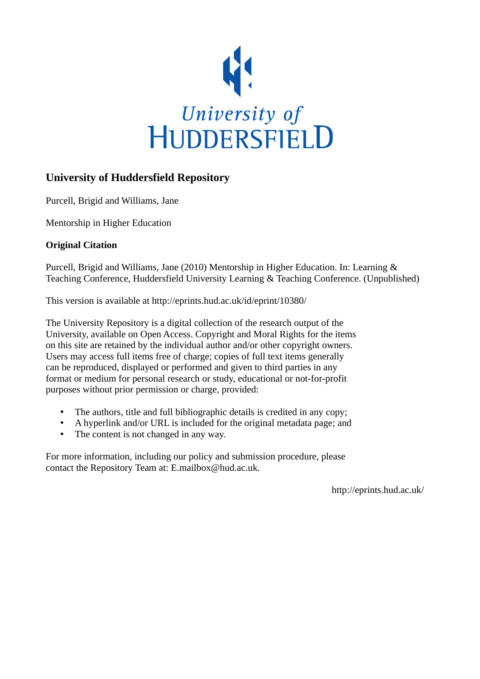

#### **University of Huddersfield Repository**

Purcell, Brigid and Williams, Jane

Mentorship in Higher Education

#### **Original Citation**

Purcell, Brigid and Williams, Jane (2010) Mentorship in Higher Education. In: Learning & Teaching Conference, Huddersfield University Learning & Teaching Conference. (Unpublished)

This version is available at http://eprints.hud.ac.uk/id/eprint/10380/

The University Repository is a digital collection of the research output of the University, available on Open Access. Copyright and Moral Rights for the items on this site are retained by the individual author and/or other copyright owners. Users may access full items free of charge; copies of full text items generally can be reproduced, displayed or performed and given to third parties in any format or medium for personal research or study, educational or not-for-profit purposes without prior permission or charge, provided:

- The authors, title and full bibliographic details is credited in any copy;
- A hyperlink and/or URL is included for the original metadata page; and
- The content is not changed in any way.

For more information, including our policy and submission procedure, please contact the Repository Team at: E.mailbox@hud.ac.uk.

http://eprints.hud.ac.uk/